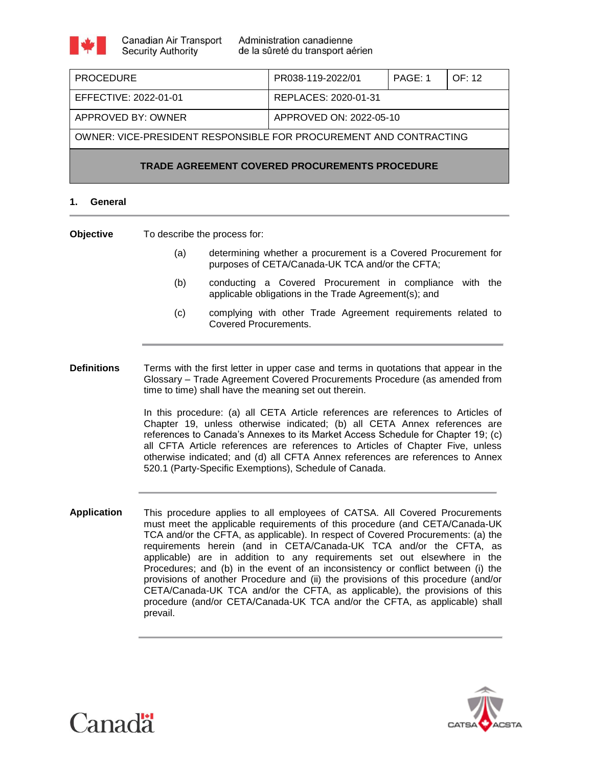| <b>PROCEDURE</b>                                                  | PR038-119-2022/01       | PAGE: 1 | OF: 12 |
|-------------------------------------------------------------------|-------------------------|---------|--------|
| EFFECTIVE: 2022-01-01                                             | REPLACES: 2020-01-31    |         |        |
| APPROVED BY: OWNER                                                | APPROVED ON: 2022-05-10 |         |        |
| OWNER: VICE-PRESIDENT RESPONSIBLE FOR PROCUREMENT AND CONTRACTING |                         |         |        |
| <b>TRADE AGREEMENT COVERED PROCUREMENTS PROCEDURE</b>             |                         |         |        |

# **1. General**

**Objective** To describe the process for:

- (a) determining whether a procurement is a Covered Procurement for purposes of CETA/Canada-UK TCA and/or the CFTA;
- (b) conducting a Covered Procurement in compliance with the applicable obligations in the Trade Agreement(s); and
- (c) complying with other Trade Agreement requirements related to Covered Procurements.

**Definitions** Terms with the first letter in upper case and terms in quotations that appear in the Glossary – Trade Agreement Covered Procurements Procedure (as amended from time to time) shall have the meaning set out therein.

> In this procedure: (a) all CETA Article references are references to Articles of Chapter 19, unless otherwise indicated; (b) all CETA Annex references are references to Canada's Annexes to its Market Access Schedule for Chapter 19; (c) all CFTA Article references are references to Articles of Chapter Five, unless otherwise indicated; and (d) all CFTA Annex references are references to Annex 520.1 (Party-Specific Exemptions), Schedule of Canada.

**Application** This procedure applies to all employees of CATSA. All Covered Procurements must meet the applicable requirements of this procedure (and CETA/Canada-UK TCA and/or the CFTA, as applicable). In respect of Covered Procurements: (a) the requirements herein (and in CETA/Canada-UK TCA and/or the CFTA, as applicable) are in addition to any requirements set out elsewhere in the Procedures; and (b) in the event of an inconsistency or conflict between (i) the provisions of another Procedure and (ii) the provisions of this procedure (and/or CETA/Canada-UK TCA and/or the CFTA, as applicable), the provisions of this procedure (and/or CETA/Canada-UK TCA and/or the CFTA, as applicable) shall prevail.



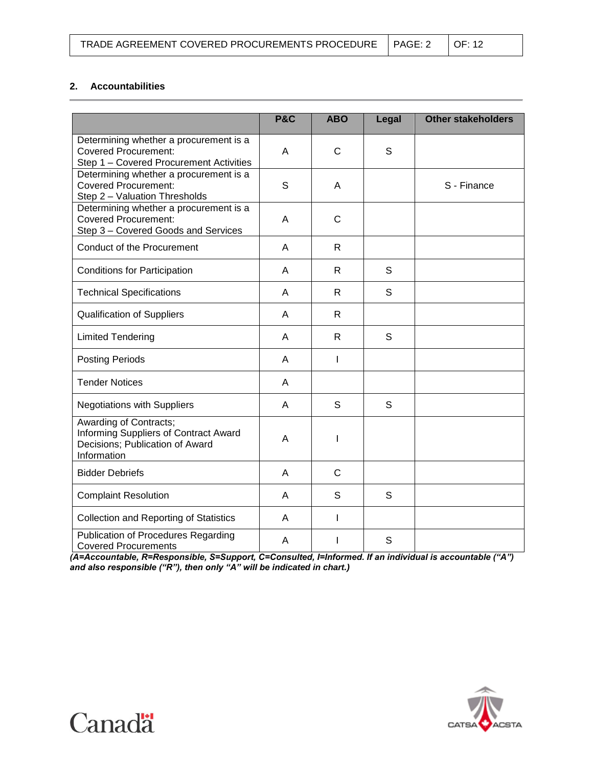| TRADE AGREEMENT COVERED PROCUREMENTS PROCEDURE   PAGE: 2 |  | $\overline{OC}$ : 12 |  |
|----------------------------------------------------------|--|----------------------|--|
|----------------------------------------------------------|--|----------------------|--|

# **2. Accountabilities**

|                                                                                                                   | <b>P&amp;C</b> | <b>ABO</b>   | Legal        | <b>Other stakeholders</b> |
|-------------------------------------------------------------------------------------------------------------------|----------------|--------------|--------------|---------------------------|
| Determining whether a procurement is a<br><b>Covered Procurement:</b><br>Step 1 - Covered Procurement Activities  | A              | $\mathsf{C}$ | S            |                           |
| Determining whether a procurement is a<br><b>Covered Procurement:</b><br>Step 2 - Valuation Thresholds            | S              | Α            |              | S - Finance               |
| Determining whether a procurement is a<br><b>Covered Procurement:</b><br>Step 3 - Covered Goods and Services      | A              | $\mathsf{C}$ |              |                           |
| <b>Conduct of the Procurement</b>                                                                                 | A              | $\mathsf{R}$ |              |                           |
| <b>Conditions for Participation</b>                                                                               | A              | R            | S            |                           |
| <b>Technical Specifications</b>                                                                                   | A              | R            | S            |                           |
| <b>Qualification of Suppliers</b>                                                                                 | A              | R            |              |                           |
| <b>Limited Tendering</b>                                                                                          | A              | $\mathsf{R}$ | S            |                           |
| <b>Posting Periods</b>                                                                                            | A              | I            |              |                           |
| <b>Tender Notices</b>                                                                                             | A              |              |              |                           |
| <b>Negotiations with Suppliers</b>                                                                                | A              | S            | $\mathsf{S}$ |                           |
| Awarding of Contracts;<br>Informing Suppliers of Contract Award<br>Decisions; Publication of Award<br>Information | A              | I            |              |                           |
| <b>Bidder Debriefs</b>                                                                                            | A              | $\mathsf{C}$ |              |                           |
| <b>Complaint Resolution</b>                                                                                       | A              | S            | S            |                           |
| <b>Collection and Reporting of Statistics</b>                                                                     | A              | I            |              |                           |
| Publication of Procedures Regarding<br><b>Covered Procurements</b>                                                | A              | ı            | S            |                           |

*(A=Accountable, R=Responsible, S=Support, C=Consulted, I=Informed. If an individual is accountable ("A") and also responsible ("R"), then only "A" will be indicated in chart.)*



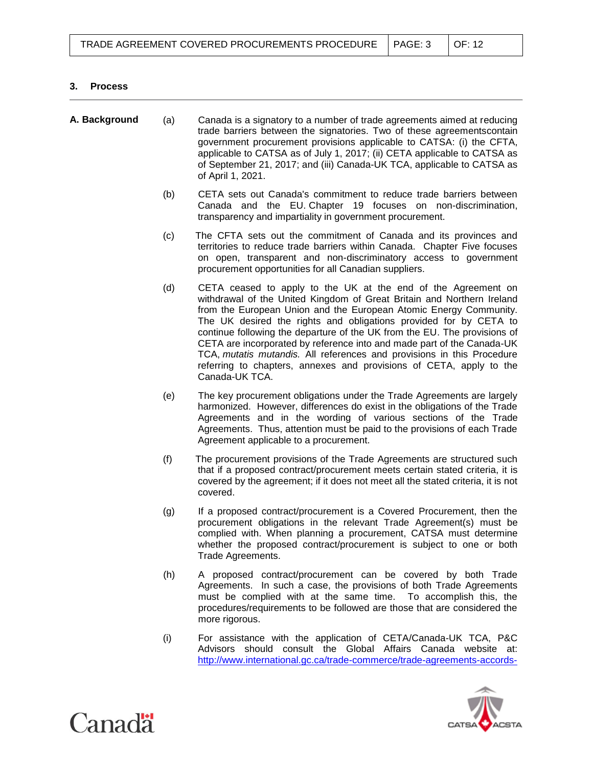# **3. Process**

| A. Background | (a) | Canada is a signatory to a number of trade agreements aimed at reducing<br>trade barriers between the signatories. Two of these agreementscontain<br>government procurement provisions applicable to CATSA: (i) the CFTA,<br>applicable to CATSA as of July 1, 2017; (ii) CETA applicable to CATSA as<br>of September 21, 2017; and (iii) Canada-UK TCA, applicable to CATSA as<br>of April 1, 2021.                                                                                                                                                                                                        |
|---------------|-----|-------------------------------------------------------------------------------------------------------------------------------------------------------------------------------------------------------------------------------------------------------------------------------------------------------------------------------------------------------------------------------------------------------------------------------------------------------------------------------------------------------------------------------------------------------------------------------------------------------------|
|               | (b) | CETA sets out Canada's commitment to reduce trade barriers between<br>Canada and the EU. Chapter 19 focuses on non-discrimination,<br>transparency and impartiality in government procurement.                                                                                                                                                                                                                                                                                                                                                                                                              |
|               | (c) | The CFTA sets out the commitment of Canada and its provinces and<br>territories to reduce trade barriers within Canada. Chapter Five focuses<br>on open, transparent and non-discriminatory access to government<br>procurement opportunities for all Canadian suppliers.                                                                                                                                                                                                                                                                                                                                   |
|               | (d) | CETA ceased to apply to the UK at the end of the Agreement on<br>withdrawal of the United Kingdom of Great Britain and Northern Ireland<br>from the European Union and the European Atomic Energy Community.<br>The UK desired the rights and obligations provided for by CETA to<br>continue following the departure of the UK from the EU. The provisions of<br>CETA are incorporated by reference into and made part of the Canada-UK<br>TCA, mutatis mutandis. All references and provisions in this Procedure<br>referring to chapters, annexes and provisions of CETA, apply to the<br>Canada-UK TCA. |
|               | (e) | The key procurement obligations under the Trade Agreements are largely<br>harmonized. However, differences do exist in the obligations of the Trade<br>Agreements and in the wording of various sections of the Trade<br>Agreements. Thus, attention must be paid to the provisions of each Trade<br>Agreement applicable to a procurement.                                                                                                                                                                                                                                                                 |
|               | (f) | The procurement provisions of the Trade Agreements are structured such<br>that if a proposed contract/procurement meets certain stated criteria, it is<br>covered by the agreement; if it does not meet all the stated criteria, it is not<br>covered.                                                                                                                                                                                                                                                                                                                                                      |
|               | (g) | If a proposed contract/procurement is a Covered Procurement, then the<br>procurement obligations in the relevant Trade Agreement(s) must be<br>complied with. When planning a procurement, CATSA must determine<br>whether the proposed contract/procurement is subject to one or both<br>Trade Agreements.                                                                                                                                                                                                                                                                                                 |
|               | (h) | A proposed contract/procurement can be covered by both Trade<br>Agreements. In such a case, the provisions of both Trade Agreements<br>must be complied with at the same time. To accomplish this, the<br>procedures/requirements to be followed are those that are considered the<br>more rigorous.                                                                                                                                                                                                                                                                                                        |
|               | (i) | For assistance with the application of CETA/Canada-UK TCA, P&C<br>Advisors should consult the Global Affairs Canada website at:<br>http://www.international.gc.ca/trade-commerce/trade-agreements-accords-                                                                                                                                                                                                                                                                                                                                                                                                  |



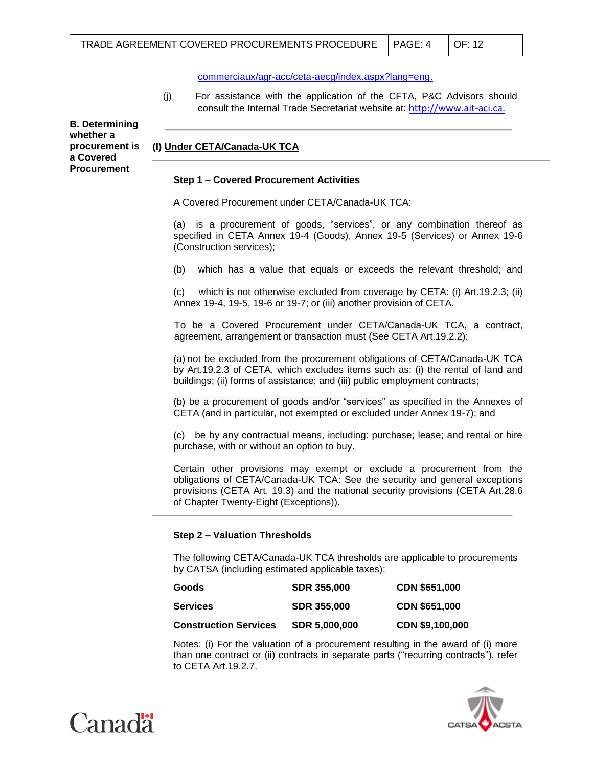[commerciaux/agr-acc/ceta-aecg/index.aspx?lang=eng](http://www.international.gc.ca/trade-commerce/trade-agreements-accords-commerciaux/agr-acc/ceta-aecg/index.aspx?lang=eng).

(j) For assistance with the application of the CFTA, P&C Advisors should consult the Internal Trade Secretariat website at: [http://www.ait-aci.ca](http://www.ait-aci.ca/).

**B. Determining whether a procurement is a Covered Procurement** 

# **(I) Under CETA/Canada-UK TCA**

## **Step 1 – Covered Procurement Activities**

A Covered Procurement under CETA/Canada-UK TCA:

(a) is a procurement of goods, "services", or any combination thereof as specified in CETA Annex 19-4 (Goods), Annex 19-5 (Services) or Annex 19-6 (Construction services);

(b) which has a value that equals or exceeds the relevant threshold; and

(c) which is not otherwise excluded from coverage by CETA: (i) Art.19.2.3; (ii) Annex 19-4, 19-5, 19-6 or 19-7; or (iii) another provision of CETA.

To be a Covered Procurement under CETA/Canada-UK TCA, a contract, agreement, arrangement or transaction must (See CETA Art.19.2.2):

(a) not be excluded from the procurement obligations of CETA/Canada-UK TCA by Art.19.2.3 of CETA, which excludes items such as: (i) the rental of land and buildings; (ii) forms of assistance; and (iii) public employment contracts;

(b) be a procurement of goods and/or "services" as specified in the Annexes of CETA (and in particular, not exempted or excluded under Annex 19-7); and

(c) be by any contractual means, including: purchase; lease; and rental or hire purchase, with or without an option to buy.

Certain other provisions may exempt or exclude a procurement from the obligations of CETA/Canada-UK TCA: See the security and general exceptions provisions (CETA Art. 19.3) and the national security provisions (CETA Art.28.6 of Chapter Twenty-Eight (Exceptions)).

#### **Step 2 – Valuation Thresholds**

The following CETA/Canada-UK TCA thresholds are applicable to procurements by CATSA (including estimated applicable taxes):

| Goods                        | <b>SDR 355,000</b>   | <b>CDN \$651,000</b> |
|------------------------------|----------------------|----------------------|
| <b>Services</b>              | <b>SDR 355,000</b>   | CDN \$651,000        |
| <b>Construction Services</b> | <b>SDR 5.000.000</b> | CDN \$9,100,000      |

Notes: (i) For the valuation of a procurement resulting in the award of (i) more than one contract or (ii) contracts in separate parts ("recurring contracts"), refer to CETA Art.19.2.7.



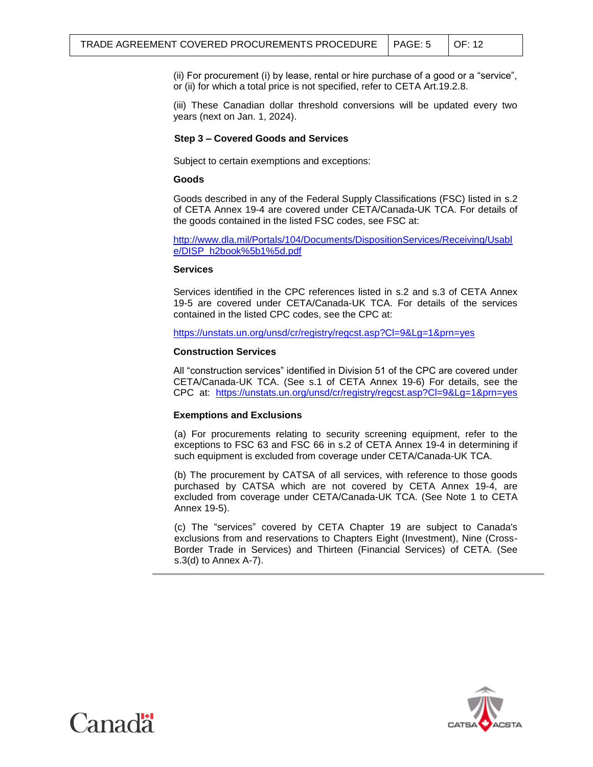(ii) For procurement (i) by lease, rental or hire purchase of a good or a "service", or (ii) for which a total price is not specified, refer to CETA Art.19.2.8.

(iii) These Canadian dollar threshold conversions will be updated every two years (next on Jan. 1, 2024).

## **Step 3 – Covered Goods and Services**

Subject to certain exemptions and exceptions:

## **Goods**

Goods described in any of the Federal Supply Classifications (FSC) listed in s.2 of CETA Annex 19-4 are covered under CETA/Canada-UK TCA. For details of the goods contained in the listed FSC codes, see FSC at:

[http://www.dla.mil/Portals/104/Documents/DispositionServices/Receiving/Usabl](http://www.dla.mil/Portals/104/Documents/DispositionServices/Receiving/Usable/DISP_h2book%5b1%5d.pdf) [e/DISP\\_h2book%5b1%5d.pdf](http://www.dla.mil/Portals/104/Documents/DispositionServices/Receiving/Usable/DISP_h2book%5b1%5d.pdf)

## **Services**

Services identified in the CPC references listed in s.2 and s.3 of CETA Annex 19-5 are covered under CETA/Canada-UK TCA. For details of the services contained in the listed CPC codes, see the CPC at:

<https://unstats.un.org/unsd/cr/registry/regcst.asp?Cl=9&Lg=1&prn=yes>

# **Construction Services**

All "construction services" identified in Division 51 of the CPC are covered under CETA/Canada-UK TCA. (See s.1 of CETA Annex 19-6) For details, see the CPC at: <https://unstats.un.org/unsd/cr/registry/regcst.asp?Cl=9&Lg=1&prn=yes>

## **Exemptions and Exclusions**

(a) For procurements relating to security screening equipment, refer to the exceptions to FSC 63 and FSC 66 in s.2 of CETA Annex 19-4 in determining if such equipment is excluded from coverage under CETA/Canada-UK TCA.

(b) The procurement by CATSA of all services, with reference to those goods purchased by CATSA which are not covered by CETA Annex 19-4, are excluded from coverage under CETA/Canada-UK TCA. (See Note 1 to CETA Annex 19-5).

(c) The "services" covered by CETA Chapter 19 are subject to Canada's exclusions from and reservations to Chapters Eight (Investment), Nine (Cross-Border Trade in Services) and Thirteen (Financial Services) of CETA. (See s.3(d) to Annex A-7).



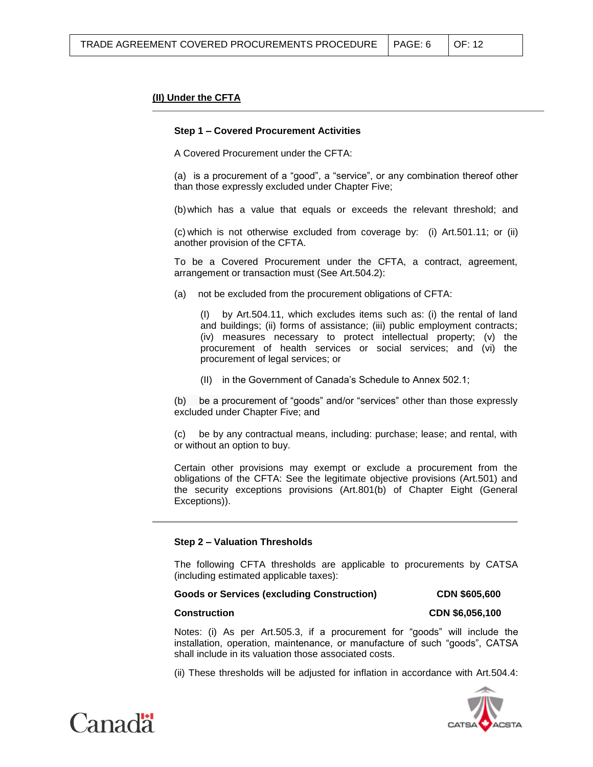## **(II) Under the CFTA**

#### **Step 1 – Covered Procurement Activities**

A Covered Procurement under the CFTA:

(a) is a procurement of a "good", a "service", or any combination thereof other than those expressly excluded under Chapter Five;

(b)which has a value that equals or exceeds the relevant threshold; and

(c) which is not otherwise excluded from coverage by: (i) Art.501.11; or (ii) another provision of the CFTA.

To be a Covered Procurement under the CFTA, a contract, agreement, arrangement or transaction must (See Art.504.2):

(a) not be excluded from the procurement obligations of CFTA:

(I) by Art.504.11, which excludes items such as: (i) the rental of land and buildings; (ii) forms of assistance; (iii) public employment contracts; (iv) measures necessary to protect intellectual property; (v) the procurement of health services or social services; and (vi) the procurement of legal services; or

(II) in the Government of Canada's Schedule to Annex 502.1;

(b) be a procurement of "goods" and/or "services" other than those expressly excluded under Chapter Five; and

(c) be by any contractual means, including: purchase; lease; and rental, with or without an option to buy.

Certain other provisions may exempt or exclude a procurement from the obligations of the CFTA: See the legitimate objective provisions (Art.501) and the security exceptions provisions (Art.801(b) of Chapter Eight (General Exceptions)).

## **Step 2 – Valuation Thresholds**

The following CFTA thresholds are applicable to procurements by CATSA (including estimated applicable taxes):

#### **Goods or Services (excluding Construction) CDN \$605,600**

#### **Construction CDN \$6,056,100**

Notes: (i) As per Art.505.3, if a procurement for "goods" will include the installation, operation, maintenance, or manufacture of such "goods", CATSA shall include in its valuation those associated costs.

(ii) These thresholds will be adjusted for inflation in accordance with Art.504.4:



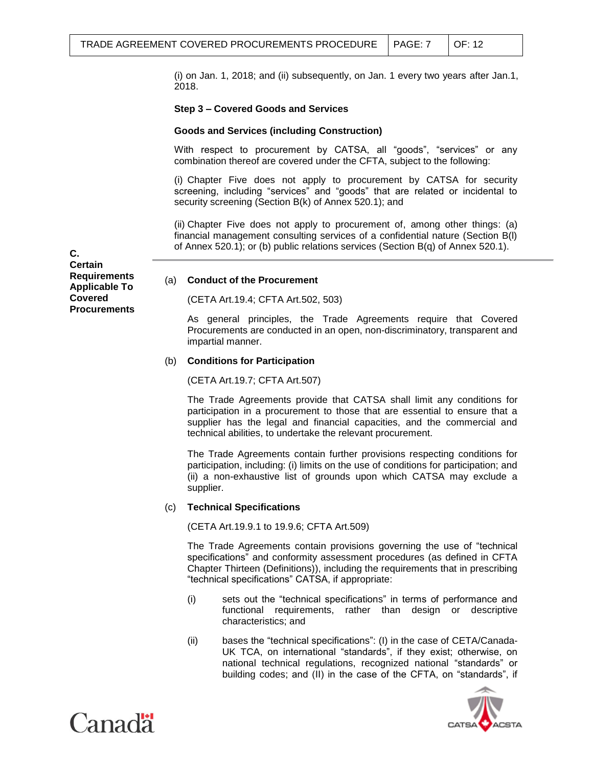(i) on Jan. 1, 2018; and (ii) subsequently, on Jan. 1 every two years after Jan.1, 2018.

## **Step 3 – Covered Goods and Services**

## **Goods and Services (including Construction)**

With respect to procurement by CATSA, all "goods", "services" or any combination thereof are covered under the CFTA, subject to the following:

(i) Chapter Five does not apply to procurement by CATSA for security screening, including "services" and "goods" that are related or incidental to security screening (Section B(k) of Annex 520.1); and

(ii) Chapter Five does not apply to procurement of, among other things: (a) financial management consulting services of a confidential nature (Section B(l) of Annex 520.1); or (b) public relations services (Section B(q) of Annex 520.1).

**C. C Certain Requirements Applicable To Covered Procurements**

#### (a) **Conduct of the Procurement**

(CETA Art.19.4; CFTA Art.502, 503)

As general principles, the Trade Agreements require that Covered Procurements are conducted in an open, non-discriminatory, transparent and impartial manner.

#### (b) **Conditions for Participation**

(CETA Art.19.7; CFTA Art.507)

The Trade Agreements provide that CATSA shall limit any conditions for participation in a procurement to those that are essential to ensure that a supplier has the legal and financial capacities, and the commercial and technical abilities, to undertake the relevant procurement.

The Trade Agreements contain further provisions respecting conditions for participation, including: (i) limits on the use of conditions for participation; and (ii) a non-exhaustive list of grounds upon which CATSA may exclude a supplier.

#### (c) **Technical Specifications**

(CETA Art.19.9.1 to 19.9.6; CFTA Art.509)

The Trade Agreements contain provisions governing the use of "technical specifications" and conformity assessment procedures (as defined in CFTA Chapter Thirteen (Definitions)), including the requirements that in prescribing "technical specifications" CATSA, if appropriate:

- (i) sets out the "technical specifications" in terms of performance and functional requirements, rather than design or descriptive characteristics; and
- (ii) bases the "technical specifications": (I) in the case of CETA/Canada-UK TCA, on international "standards", if they exist; otherwise, on national technical regulations, recognized national "standards" or building codes; and (II) in the case of the CFTA, on "standards", if



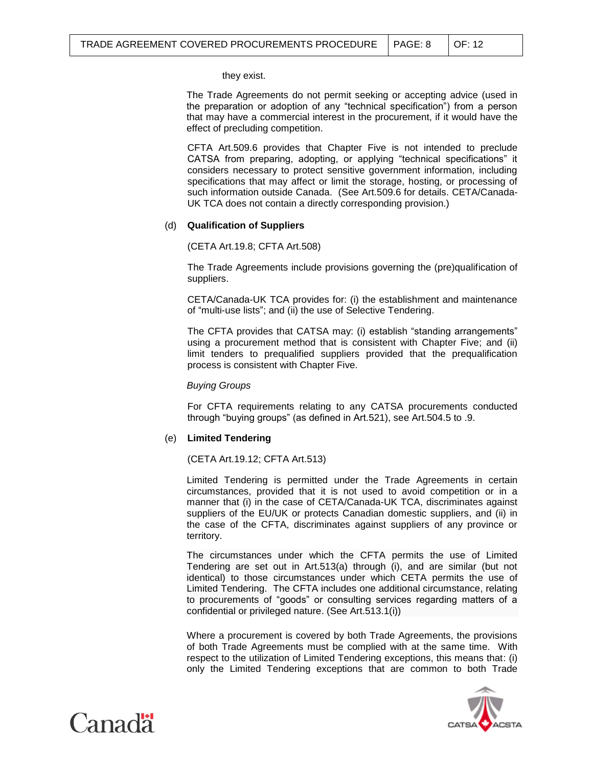they exist.

The Trade Agreements do not permit seeking or accepting advice (used in the preparation or adoption of any "technical specification") from a person that may have a commercial interest in the procurement, if it would have the effect of precluding competition.

CFTA Art.509.6 provides that Chapter Five is not intended to preclude CATSA from preparing, adopting, or applying "technical specifications" it considers necessary to protect sensitive government information, including specifications that may affect or limit the storage, hosting, or processing of such information outside Canada. (See Art.509.6 for details. CETA/Canada-UK TCA does not contain a directly corresponding provision.)

## (d) **Qualification of Suppliers**

(CETA Art.19.8; CFTA Art.508)

The Trade Agreements include provisions governing the (pre)qualification of suppliers.

CETA/Canada-UK TCA provides for: (i) the establishment and maintenance of "multi-use lists"; and (ii) the use of Selective Tendering.

The CFTA provides that CATSA may: (i) establish "standing arrangements" using a procurement method that is consistent with Chapter Five; and (ii) limit tenders to prequalified suppliers provided that the prequalification process is consistent with Chapter Five.

*Buying Groups*

For CFTA requirements relating to any CATSA procurements conducted through "buying groups" (as defined in Art.521), see Art.504.5 to .9.

## (e) **Limited Tendering**

(CETA Art.19.12; CFTA Art.513)

Limited Tendering is permitted under the Trade Agreements in certain circumstances, provided that it is not used to avoid competition or in a manner that (i) in the case of CETA/Canada-UK TCA, discriminates against suppliers of the EU/UK or protects Canadian domestic suppliers, and (ii) in the case of the CFTA, discriminates against suppliers of any province or territory.

The circumstances under which the CFTA permits the use of Limited Tendering are set out in Art.513(a) through (i), and are similar (but not identical) to those circumstances under which CETA permits the use of Limited Tendering. The CFTA includes one additional circumstance, relating to procurements of "goods" or consulting services regarding matters of a confidential or privileged nature. (See Art.513.1(i))

Where a procurement is covered by both Trade Agreements, the provisions of both Trade Agreements must be complied with at the same time. With respect to the utilization of Limited Tendering exceptions, this means that: (i) only the Limited Tendering exceptions that are common to both Trade



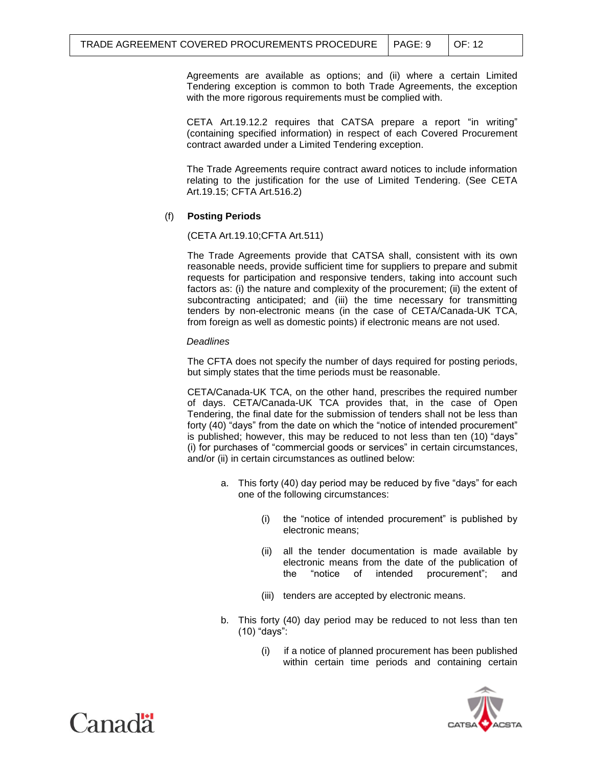Agreements are available as options; and (ii) where a certain Limited Tendering exception is common to both Trade Agreements, the exception with the more rigorous requirements must be complied with.

CETA Art.19.12.2 requires that CATSA prepare a report "in writing" (containing specified information) in respect of each Covered Procurement contract awarded under a Limited Tendering exception.

The Trade Agreements require contract award notices to include information relating to the justification for the use of Limited Tendering. (See CETA Art.19.15; CFTA Art.516.2)

## (f) **Posting Periods**

(CETA Art.19.10;CFTA Art.511)

The Trade Agreements provide that CATSA shall, consistent with its own reasonable needs, provide sufficient time for suppliers to prepare and submit requests for participation and responsive tenders, taking into account such factors as: (i) the nature and complexity of the procurement; (ii) the extent of subcontracting anticipated; and (iii) the time necessary for transmitting tenders by non-electronic means (in the case of CETA/Canada-UK TCA, from foreign as well as domestic points) if electronic means are not used.

## *Deadlines*

The CFTA does not specify the number of days required for posting periods, but simply states that the time periods must be reasonable.

CETA/Canada-UK TCA, on the other hand, prescribes the required number of days. CETA/Canada-UK TCA provides that, in the case of Open Tendering, the final date for the submission of tenders shall not be less than forty (40) "days" from the date on which the "notice of intended procurement" is published; however, this may be reduced to not less than ten (10) "days" (i) for purchases of "commercial goods or services" in certain circumstances, and/or (ii) in certain circumstances as outlined below:

- a. This forty (40) day period may be reduced by five "days" for each one of the following circumstances:
	- (i) the "notice of intended procurement" is published by electronic means;
	- (ii) all the tender documentation is made available by electronic means from the date of the publication of the "notice of intended procurement"; and
	- (iii) tenders are accepted by electronic means.
- b. This forty (40) day period may be reduced to not less than ten (10) "days":
	- (i) if a notice of planned procurement has been published within certain time periods and containing certain



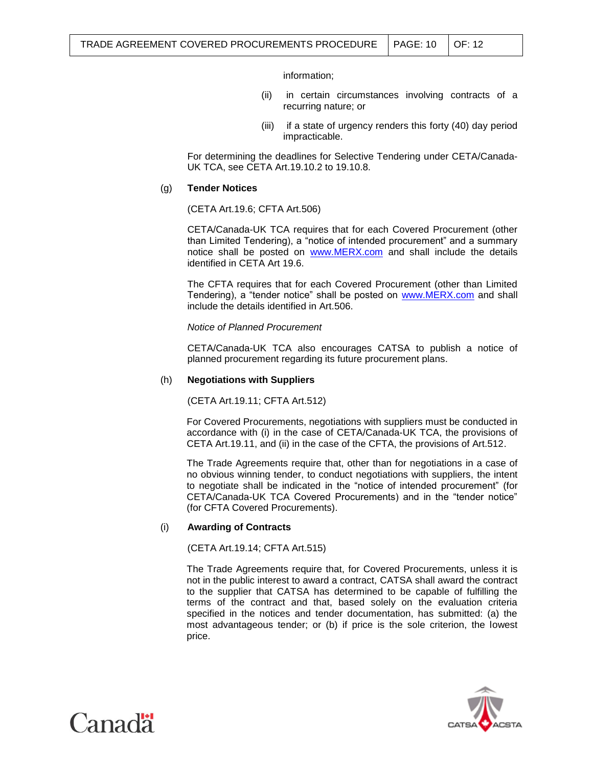information;

- (ii) in certain circumstances involving contracts of a recurring nature; or
- (iii) if a state of urgency renders this forty (40) day period impracticable.

For determining the deadlines for Selective Tendering under CETA/Canada-UK TCA, see CETA Art.19.10.2 to 19.10.8.

#### (g) **Tender Notices**

(CETA Art.19.6; CFTA Art.506)

CETA/Canada-UK TCA requires that for each Covered Procurement (other than Limited Tendering), a "notice of intended procurement" and a summary notice shall be posted on [www.MERX.com](http://www.merx.com/) and shall include the details identified in CETA Art 19.6.

The CFTA requires that for each Covered Procurement (other than Limited Tendering), a "tender notice" shall be posted on [www.MERX.com](http://www.merx.com/) and shall include the details identified in Art.506.

*Notice of Planned Procurement*

CETA/Canada-UK TCA also encourages CATSA to publish a notice of planned procurement regarding its future procurement plans.

#### (h) **Negotiations with Suppliers**

(CETA Art.19.11; CFTA Art.512)

For Covered Procurements, negotiations with suppliers must be conducted in accordance with (i) in the case of CETA/Canada-UK TCA, the provisions of CETA Art.19.11, and (ii) in the case of the CFTA, the provisions of Art.512.

The Trade Agreements require that, other than for negotiations in a case of no obvious winning tender, to conduct negotiations with suppliers, the intent to negotiate shall be indicated in the "notice of intended procurement" (for CETA/Canada-UK TCA Covered Procurements) and in the "tender notice" (for CFTA Covered Procurements).

## (i) **Awarding of Contracts**

(CETA Art.19.14; CFTA Art.515)

The Trade Agreements require that, for Covered Procurements, unless it is not in the public interest to award a contract, CATSA shall award the contract to the supplier that CATSA has determined to be capable of fulfilling the terms of the contract and that, based solely on the evaluation criteria specified in the notices and tender documentation, has submitted: (a) the most advantageous tender; or (b) if price is the sole criterion, the lowest price.



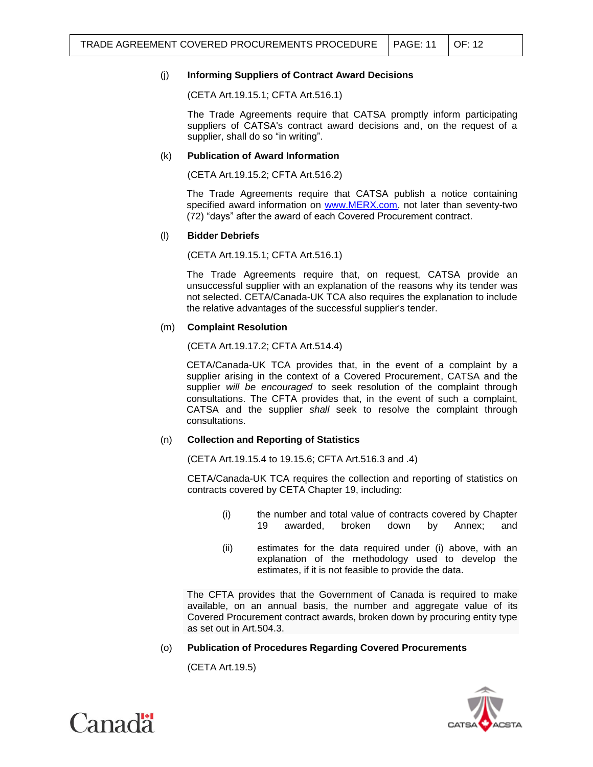# (j) **Informing Suppliers of Contract Award Decisions**

(CETA Art.19.15.1; CFTA Art.516.1)

The Trade Agreements require that CATSA promptly inform participating suppliers of CATSA's contract award decisions and, on the request of a supplier, shall do so "in writing".

# (k) **Publication of Award Information**

(CETA Art.19.15.2; CFTA Art.516.2)

The Trade Agreements require that CATSA publish a notice containing specified award information on [www.MERX.com,](http://www.merx.com/) not later than seventy-two (72) "days" after the award of each Covered Procurement contract.

## (l) **Bidder Debriefs**

(CETA Art.19.15.1; CFTA Art.516.1)

The Trade Agreements require that, on request, CATSA provide an unsuccessful supplier with an explanation of the reasons why its tender was not selected. CETA/Canada-UK TCA also requires the explanation to include the relative advantages of the successful supplier's tender.

# (m) **Complaint Resolution**

(CETA Art.19.17.2; CFTA Art.514.4)

CETA/Canada-UK TCA provides that, in the event of a complaint by a supplier arising in the context of a Covered Procurement, CATSA and the supplier *will be encouraged* to seek resolution of the complaint through consultations. The CFTA provides that, in the event of such a complaint, CATSA and the supplier *shall* seek to resolve the complaint through consultations.

## (n) **Collection and Reporting of Statistics**

(CETA Art.19.15.4 to 19.15.6; CFTA Art.516.3 and .4)

CETA/Canada-UK TCA requires the collection and reporting of statistics on contracts covered by CETA Chapter 19, including:

- (i) the number and total value of contracts covered by Chapter 19 awarded, broken down by Annex; and
- (ii) estimates for the data required under (i) above, with an explanation of the methodology used to develop the estimates, if it is not feasible to provide the data.

The CFTA provides that the Government of Canada is required to make available, on an annual basis, the number and aggregate value of its Covered Procurement contract awards, broken down by procuring entity type as set out in Art.504.3.

# (o) **Publication of Procedures Regarding Covered Procurements**

(CETA Art.19.5)